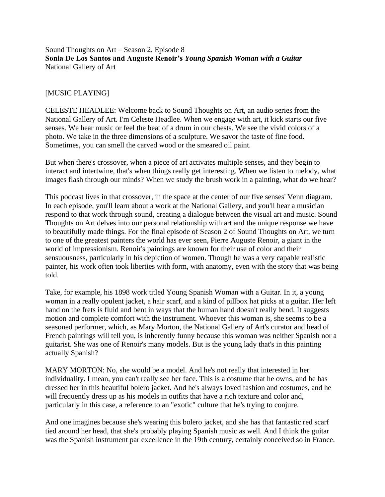### Sound Thoughts on Art – Season 2, Episode 8 **Sonia De Los Santos and Auguste Renoir's** *Young Spanish Woman with a Guitar* National Gallery of Art

### [MUSIC PLAYING]

CELESTE HEADLEE: Welcome back to Sound Thoughts on Art, an audio series from the National Gallery of Art. I'm Celeste Headlee. When we engage with art, it kick starts our five senses. We hear music or feel the beat of a drum in our chests. We see the vivid colors of a photo. We take in the three dimensions of a sculpture. We savor the taste of fine food. Sometimes, you can smell the carved wood or the smeared oil paint.

But when there's crossover, when a piece of art activates multiple senses, and they begin to interact and intertwine, that's when things really get interesting. When we listen to melody, what images flash through our minds? When we study the brush work in a painting, what do we hear?

This podcast lives in that crossover, in the space at the center of our five senses' Venn diagram. In each episode, you'll learn about a work at the National Gallery, and you'll hear a musician respond to that work through sound, creating a dialogue between the visual art and music. Sound Thoughts on Art delves into our personal relationship with art and the unique response we have to beautifully made things. For the final episode of Season 2 of Sound Thoughts on Art, we turn to one of the greatest painters the world has ever seen, Pierre Auguste Renoir, a giant in the world of impressionism. Renoir's paintings are known for their use of color and their sensuousness, particularly in his depiction of women. Though he was a very capable realistic painter, his work often took liberties with form, with anatomy, even with the story that was being told.

Take, for example, his 1898 work titled Young Spanish Woman with a Guitar. In it, a young woman in a really opulent jacket, a hair scarf, and a kind of pillbox hat picks at a guitar. Her left hand on the frets is fluid and bent in ways that the human hand doesn't really bend. It suggests motion and complete comfort with the instrument. Whoever this woman is, she seems to be a seasoned performer, which, as Mary Morton, the National Gallery of Art's curator and head of French paintings will tell you, is inherently funny because this woman was neither Spanish nor a guitarist. She was one of Renoir's many models. But is the young lady that's in this painting actually Spanish?

MARY MORTON: No, she would be a model. And he's not really that interested in her individuality. I mean, you can't really see her face. This is a costume that he owns, and he has dressed her in this beautiful bolero jacket. And he's always loved fashion and costumes, and he will frequently dress up as his models in outfits that have a rich texture and color and, particularly in this case, a reference to an "exotic" culture that he's trying to conjure.

And one imagines because she's wearing this bolero jacket, and she has that fantastic red scarf tied around her head, that she's probably playing Spanish music as well. And I think the guitar was the Spanish instrument par excellence in the 19th century, certainly conceived so in France.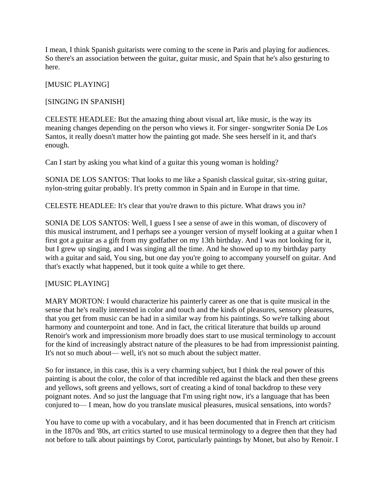I mean, I think Spanish guitarists were coming to the scene in Paris and playing for audiences. So there's an association between the guitar, guitar music, and Spain that he's also gesturing to here.

# [MUSIC PLAYING]

# [SINGING IN SPANISH]

CELESTE HEADLEE: But the amazing thing about visual art, like music, is the way its meaning changes depending on the person who views it. For singer- songwriter Sonia De Los Santos, it really doesn't matter how the painting got made. She sees herself in it, and that's enough.

Can I start by asking you what kind of a guitar this young woman is holding?

SONIA DE LOS SANTOS: That looks to me like a Spanish classical guitar, six-string guitar, nylon-string guitar probably. It's pretty common in Spain and in Europe in that time.

CELESTE HEADLEE: It's clear that you're drawn to this picture. What draws you in?

SONIA DE LOS SANTOS: Well, I guess I see a sense of awe in this woman, of discovery of this musical instrument, and I perhaps see a younger version of myself looking at a guitar when I first got a guitar as a gift from my godfather on my 13th birthday. And I was not looking for it, but I grew up singing, and I was singing all the time. And he showed up to my birthday party with a guitar and said, You sing, but one day you're going to accompany yourself on guitar. And that's exactly what happened, but it took quite a while to get there.

# [MUSIC PLAYING]

MARY MORTON: I would characterize his painterly career as one that is quite musical in the sense that he's really interested in color and touch and the kinds of pleasures, sensory pleasures, that you get from music can be had in a similar way from his paintings. So we're talking about harmony and counterpoint and tone. And in fact, the critical literature that builds up around Renoir's work and impressionism more broadly does start to use musical terminology to account for the kind of increasingly abstract nature of the pleasures to be had from impressionist painting. It's not so much about— well, it's not so much about the subject matter.

So for instance, in this case, this is a very charming subject, but I think the real power of this painting is about the color, the color of that incredible red against the black and then these greens and yellows, soft greens and yellows, sort of creating a kind of tonal backdrop to these very poignant notes. And so just the language that I'm using right now, it's a language that has been conjured to— I mean, how do you translate musical pleasures, musical sensations, into words?

You have to come up with a vocabulary, and it has been documented that in French art criticism in the 1870s and '80s, art critics started to use musical terminology to a degree then that they had not before to talk about paintings by Corot, particularly paintings by Monet, but also by Renoir. I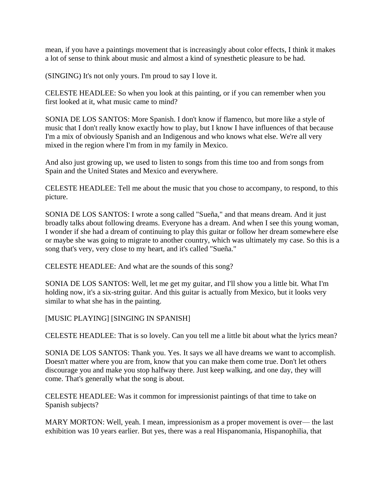mean, if you have a paintings movement that is increasingly about color effects, I think it makes a lot of sense to think about music and almost a kind of synesthetic pleasure to be had.

(SINGING) It's not only yours. I'm proud to say I love it.

CELESTE HEADLEE: So when you look at this painting, or if you can remember when you first looked at it, what music came to mind?

SONIA DE LOS SANTOS: More Spanish. I don't know if flamenco, but more like a style of music that I don't really know exactly how to play, but I know I have influences of that because I'm a mix of obviously Spanish and an Indigenous and who knows what else. We're all very mixed in the region where I'm from in my family in Mexico.

And also just growing up, we used to listen to songs from this time too and from songs from Spain and the United States and Mexico and everywhere.

CELESTE HEADLEE: Tell me about the music that you chose to accompany, to respond, to this picture.

SONIA DE LOS SANTOS: I wrote a song called "Sueña," and that means dream. And it just broadly talks about following dreams. Everyone has a dream. And when I see this young woman, I wonder if she had a dream of continuing to play this guitar or follow her dream somewhere else or maybe she was going to migrate to another country, which was ultimately my case. So this is a song that's very, very close to my heart, and it's called "Sueña."

CELESTE HEADLEE: And what are the sounds of this song?

SONIA DE LOS SANTOS: Well, let me get my guitar, and I'll show you a little bit. What I'm holding now, it's a six-string guitar. And this guitar is actually from Mexico, but it looks very similar to what she has in the painting.

[MUSIC PLAYING] [SINGING IN SPANISH]

CELESTE HEADLEE: That is so lovely. Can you tell me a little bit about what the lyrics mean?

SONIA DE LOS SANTOS: Thank you. Yes. It says we all have dreams we want to accomplish. Doesn't matter where you are from, know that you can make them come true. Don't let others discourage you and make you stop halfway there. Just keep walking, and one day, they will come. That's generally what the song is about.

CELESTE HEADLEE: Was it common for impressionist paintings of that time to take on Spanish subjects?

MARY MORTON: Well, yeah. I mean, impressionism as a proper movement is over— the last exhibition was 10 years earlier. But yes, there was a real Hispanomania, Hispanophilia, that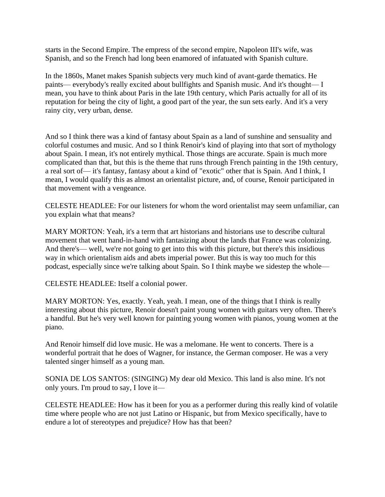starts in the Second Empire. The empress of the second empire, Napoleon III's wife, was Spanish, and so the French had long been enamored of infatuated with Spanish culture.

In the 1860s, Manet makes Spanish subjects very much kind of avant-garde thematics. He paints— everybody's really excited about bullfights and Spanish music. And it's thought— I mean, you have to think about Paris in the late 19th century, which Paris actually for all of its reputation for being the city of light, a good part of the year, the sun sets early. And it's a very rainy city, very urban, dense.

And so I think there was a kind of fantasy about Spain as a land of sunshine and sensuality and colorful costumes and music. And so I think Renoir's kind of playing into that sort of mythology about Spain. I mean, it's not entirely mythical. Those things are accurate. Spain is much more complicated than that, but this is the theme that runs through French painting in the 19th century, a real sort of— it's fantasy, fantasy about a kind of "exotic" other that is Spain. And I think, I mean, I would qualify this as almost an orientalist picture, and, of course, Renoir participated in that movement with a vengeance.

CELESTE HEADLEE: For our listeners for whom the word orientalist may seem unfamiliar, can you explain what that means?

MARY MORTON: Yeah, it's a term that art historians and historians use to describe cultural movement that went hand-in-hand with fantasizing about the lands that France was colonizing. And there's— well, we're not going to get into this with this picture, but there's this insidious way in which orientalism aids and abets imperial power. But this is way too much for this podcast, especially since we're talking about Spain. So I think maybe we sidestep the whole—

CELESTE HEADLEE: Itself a colonial power.

MARY MORTON: Yes, exactly. Yeah, yeah. I mean, one of the things that I think is really interesting about this picture, Renoir doesn't paint young women with guitars very often. There's a handful. But he's very well known for painting young women with pianos, young women at the piano.

And Renoir himself did love music. He was a melomane. He went to concerts. There is a wonderful portrait that he does of Wagner, for instance, the German composer. He was a very talented singer himself as a young man.

SONIA DE LOS SANTOS: (SINGING) My dear old Mexico. This land is also mine. It's not only yours. I'm proud to say, I love it—

CELESTE HEADLEE: How has it been for you as a performer during this really kind of volatile time where people who are not just Latino or Hispanic, but from Mexico specifically, have to endure a lot of stereotypes and prejudice? How has that been?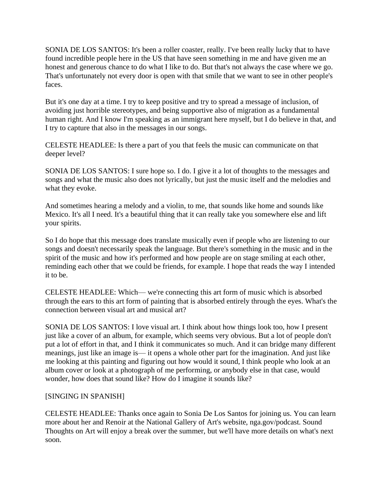SONIA DE LOS SANTOS: It's been a roller coaster, really. I've been really lucky that to have found incredible people here in the US that have seen something in me and have given me an honest and generous chance to do what I like to do. But that's not always the case where we go. That's unfortunately not every door is open with that smile that we want to see in other people's faces.

But it's one day at a time. I try to keep positive and try to spread a message of inclusion, of avoiding just horrible stereotypes, and being supportive also of migration as a fundamental human right. And I know I'm speaking as an immigrant here myself, but I do believe in that, and I try to capture that also in the messages in our songs.

CELESTE HEADLEE: Is there a part of you that feels the music can communicate on that deeper level?

SONIA DE LOS SANTOS: I sure hope so. I do. I give it a lot of thoughts to the messages and songs and what the music also does not lyrically, but just the music itself and the melodies and what they evoke.

And sometimes hearing a melody and a violin, to me, that sounds like home and sounds like Mexico. It's all I need. It's a beautiful thing that it can really take you somewhere else and lift your spirits.

So I do hope that this message does translate musically even if people who are listening to our songs and doesn't necessarily speak the language. But there's something in the music and in the spirit of the music and how it's performed and how people are on stage smiling at each other, reminding each other that we could be friends, for example. I hope that reads the way I intended it to be.

CELESTE HEADLEE: Which— we're connecting this art form of music which is absorbed through the ears to this art form of painting that is absorbed entirely through the eyes. What's the connection between visual art and musical art?

SONIA DE LOS SANTOS: I love visual art. I think about how things look too, how I present just like a cover of an album, for example, which seems very obvious. But a lot of people don't put a lot of effort in that, and I think it communicates so much. And it can bridge many different meanings, just like an image is— it opens a whole other part for the imagination. And just like me looking at this painting and figuring out how would it sound, I think people who look at an album cover or look at a photograph of me performing, or anybody else in that case, would wonder, how does that sound like? How do I imagine it sounds like?

# [SINGING IN SPANISH]

CELESTE HEADLEE: Thanks once again to Sonia De Los Santos for joining us. You can learn more about her and Renoir at the National Gallery of Art's website, nga.gov/podcast. Sound Thoughts on Art will enjoy a break over the summer, but we'll have more details on what's next soon.